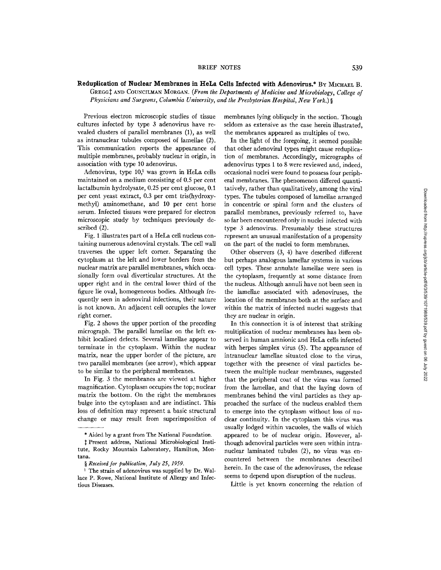#### BRIEF NOTES 539

## Reduplication of Nuclear Membranes in HeLa Cells Infected with Adenovirus.\* By MICHAEL B. GREGG<sup>†</sup> AND COUNCILMAN MORGAN. (From the Departments of Medicine and Microbiology, College of *Physicians and Surgeons, Columbia University, and the Presbyterian Hospital, New York.) §*

Previous electron microscopic studies of tissue cultures infected by type 3 adenovirus have revealed clusters of parallel membranes (1), as well as intranuclear tubules composed of lamellae (2). This communication reports the appearance of multiple membranes, probably nuclear in origin, in association with type 10 adenovirus.

Adenovirus, type 10,<sup>1</sup> was grown in HeLa cells maintained on a medium consisting of 0.5 per cent lactalbumin hydrolysate, 0.25 per cent glucose, 0.1 per cent yeast extract, 0.3 per cent tris(hydroxymethyl) aminomethane, and 10 per cent horse serum. Infected tissues were prepared for electron microscopic study by techniques previously described (2).

Fig. 1 illustrates part of a HeLa cell nucleus containing numerous adenoviral crystals. The cell wall traverses the upper left corner. Separating the cytoplasm at the left and lower borders from the nuclear matrix are parallel membranes, which occasionally form oval diverticular structures. At the upper right and in the central lower third of the figure lie oval, homogeneous bodies. Although frequently seen in adenoviral infections, their nature is not known. An adjacent cell occupies the lower right corner.

Fig. 2 shows the upper portion of the preceding micrograph. The parallel lamellae on the left exhibit localized defects. Several lamellae appear to terminate in the cytoplasm. Within the nuclear matrix, near the upper border of the picture, are two parallel membranes (see arrow), which appear to be similar to the peripheral membranes.

In Fig. 3 the membranes are viewed at higher magnification. Cytoplasm occupies the top; nuclear matrix the bottom. On the right the membranes bulge into the cytoplasm and are indistinct. This loss of definition may represent a basic structural change or may result from superimposition of

membranes lying obliquely in the section. Though seldom as extensive as the case herein illustrated, the membranes appeared as multiples of two.

In the light of the foregoing, it seemed possible that other adenoviral types might cause reduplication of membranes. Accordingly, micrographs of adenovirus types 1 to 8 were reviewed and, indeed, occasional nuclei were found to possess four peripheral membranes. The phenomenon differed quantitatively, rather than qualitatively, among the viral types. The tubules composed of lamellae arranged in concentric or spiral form and the clusters of parallel membranes, previously referred to, have so far been encountered only in nuclei infected with type 3 adenovirus. Presumably these structures represent an unusual manifestation of a propensity on the part of the nuclei to form membranes.

Other observers (3, 4) have described different but perhaps analogous lamellar systems in various cell types. These annulate lamellae were seen in the cytoplasm, frequently at some distance from the nucleus. Although annuli have not been seen in the lamellae associated with adenoviruses, the location of the membranes both at the surface and within the matrix of infected nuclei suggests that they are nuclear in origin.

In this connection it is of interest that striking multiplication of nuclear membranes has been observed in human amnionic and HeLa cells infected with herpes simplex virus (5). The appearance of intranuclear lamellae situated close to the virus, together with the presence of viral particles between the multiple nuclear membranes, suggested that the peripheral coat of the virus was formed from the lamellae, and that the laying down of membranes behind the viral particles as they approached the surface of the nucleus enabled them to emerge into the cytoplasm without loss of nuclear continuity. In the cytoplasm this virus was usually lodged within vacuoles, the walls of which appeared to be of nuclear origin. However, although adenoviral particles were seen within intranuclear laminated tubules (2), no virus was encountered between the membranes described herein. In the case of the adenoviruses, the release seems to depend upon disruption of the nucleus.

Little is yet known concerning the relation of

<sup>\*</sup> Aided by a grant from The National Foundation.

 $\ddagger$  Present address, National Microbiological Institute, Rocky Mountain Laboratory, Hamilton, Montana.

*<sup>§</sup> Received for publication, J~dy 25, 1959.* 

<sup>&</sup>lt;sup>1</sup> The strain of adenovirus was supplied by Dr. Wallace P. Rowe, National Institute of Allergy and Infectious Diseases.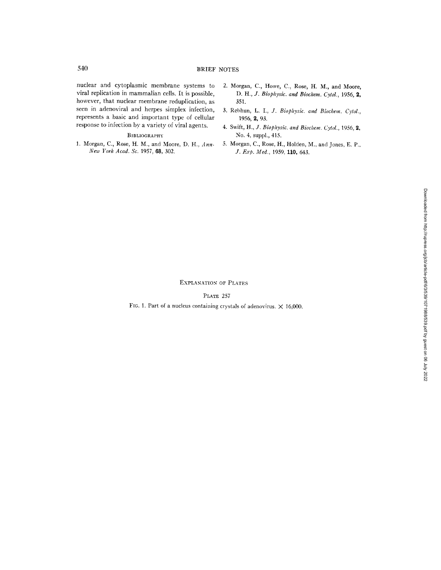nuclear and cytoplasmic membrane systems to viral replication in mammalian cells. It is possible, however, that nuclear membrane reduplication, as seen in adenoviral and herpes simplex infection, represents a basic and important type of cellular response to infection by a variety of viral agents.

## BIBLIOGRAPHY

- 1. Morgan, C., Rose, H. M., and Moore, D. H., *Ann. New York Acad. Sc.* 1957, 68, 302.
- 2. Morgan, C., Howe, C., Rose, H. M., and Moore, D. H., *J. Biophysic. and Biochem. Cyto!.,* 1956, 9., 351.
- 3. Rebhun, *L. I., J. Biophysic. and Biochem. Cytol.,*  1956, 2, 93.
- 4. Swift, H., *J. Biophyslc. and Biochem. Cytol.,* 1956, 2, No. 4, suppl., 415.
- 5. Morgan, C., Rose, H., Holden, M., and Jones, E. P., *J. Exp. Med.,* 1959, 110, 643.

#### EXPLANATION OF PLATES

PLATE 257

FIG. 1. Part of a nucleus containing crystals of adenovirus.  $\times$  16,000.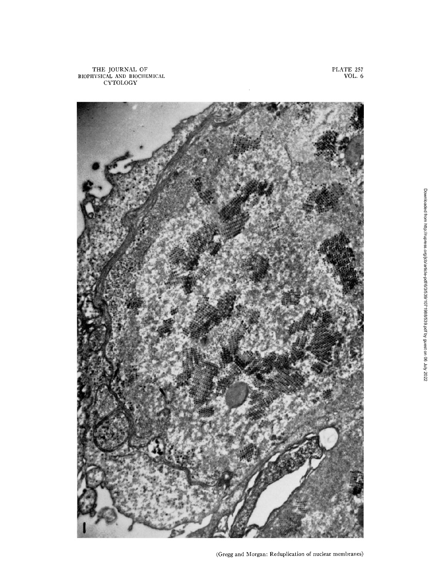THE JOURNAL OF BIOPHYSICAL AND BIOCIIEMICAL CYTOLOGY

PLATE 257 VOL. 6

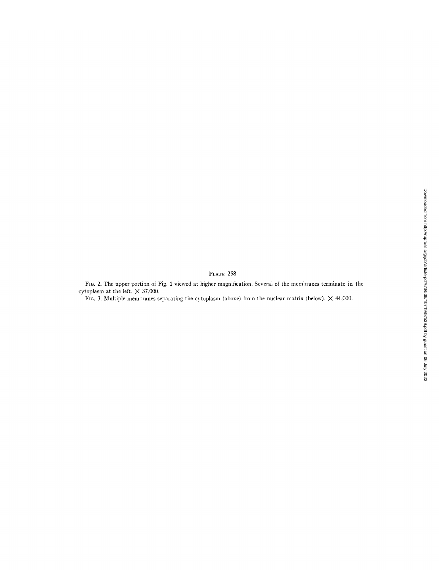# PLATE 258

FIG. 2. The upper portion of Fig. 1 viewed at higher magnification. Several of the membranes terminate in the cytoplasm at the left.  $\times$  37,000.

FIG. 3. Multiple membranes separating the cytoplasm (above) from the nuclear matrix (below).  $\times$  44,000.